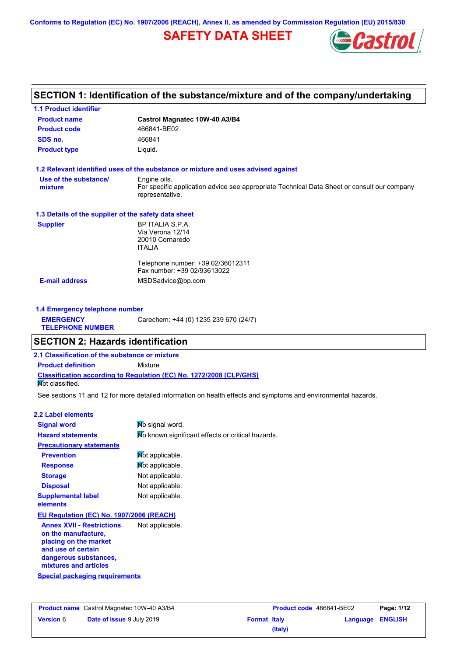**Conforms to Regulation (EC) No. 1907/2006 (REACH), Annex II, as amended by Commission Regulation (EU) 2015/830**

# **SAFETY DATA SHEET**



# **SECTION 1: Identification of the substance/mixture and of the company/undertaking**

| <b>1.1 Product identifier</b>                        |                                                                                                                |
|------------------------------------------------------|----------------------------------------------------------------------------------------------------------------|
| <b>Product name</b>                                  | Castrol Magnatec 10W-40 A3/B4                                                                                  |
| <b>Product code</b>                                  | 466841-BE02                                                                                                    |
| SDS no.                                              | 466841                                                                                                         |
| <b>Product type</b>                                  | Liquid.                                                                                                        |
|                                                      | 1.2 Relevant identified uses of the substance or mixture and uses advised against                              |
| Use of the substance/                                | Engine oils.                                                                                                   |
| mixture                                              | For specific application advice see appropriate Technical Data Sheet or consult our company<br>representative. |
| 1.3 Details of the supplier of the safety data sheet |                                                                                                                |
| <b>Supplier</b>                                      | BP ITALIA S.P.A.                                                                                               |
|                                                      | Via Verona 12/14                                                                                               |
|                                                      | 20010 Cornaredo                                                                                                |
|                                                      | <b>ITALIA</b>                                                                                                  |
|                                                      | Telephone number: +39 02/36012311                                                                              |
|                                                      | Fax number: +39 02/93613022                                                                                    |
| <b>E-mail address</b>                                | MSDSadvice@bp.com                                                                                              |
|                                                      |                                                                                                                |
|                                                      |                                                                                                                |

| 1.4 Emergency telephone number              |                                       |  |  |
|---------------------------------------------|---------------------------------------|--|--|
| <b>EMERGENCY</b><br><b>TELEPHONE NUMBER</b> | Carechem: +44 (0) 1235 239 670 (24/7) |  |  |

# **SECTION 2: Hazards identification**

**2.1 Classification of the substance or mixture**

**Classification according to Regulation (EC) No. 1272/2008 [CLP/GHS] Product definition** Mixture

**Not classified.** 

See sections 11 and 12 for more detailed information on health effects and symptoms and environmental hazards.

| 2.2 Label elements                                                                                                                                       |                                                   |
|----------------------------------------------------------------------------------------------------------------------------------------------------------|---------------------------------------------------|
| <b>Signal word</b>                                                                                                                                       | No signal word.                                   |
| <b>Hazard statements</b>                                                                                                                                 | No known significant effects or critical hazards. |
| <b>Precautionary statements</b>                                                                                                                          |                                                   |
| <b>Prevention</b>                                                                                                                                        | Not applicable.                                   |
| <b>Response</b>                                                                                                                                          | Mot applicable.                                   |
| <b>Storage</b>                                                                                                                                           | Not applicable.                                   |
| <b>Disposal</b>                                                                                                                                          | Not applicable.                                   |
| <b>Supplemental label</b><br>elements                                                                                                                    | Not applicable.                                   |
| EU Regulation (EC) No. 1907/2006 (REACH)                                                                                                                 |                                                   |
| <b>Annex XVII - Restrictions</b><br>on the manufacture.<br>placing on the market<br>and use of certain<br>dangerous substances,<br>mixtures and articles | Not applicable.                                   |
| Special packaging requirements                                                                                                                           |                                                   |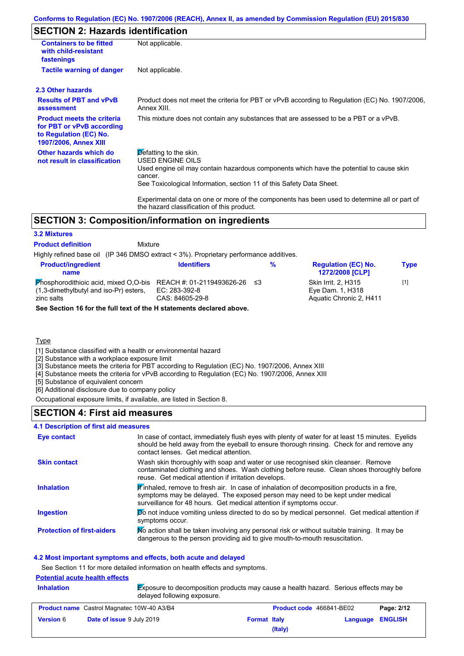# **SECTION 2: Hazards identification**

| <b>Containers to be fitted</b><br>with child-resistant<br>fastenings                                              | Not applicable.                                                                                                                                                                                                                 |
|-------------------------------------------------------------------------------------------------------------------|---------------------------------------------------------------------------------------------------------------------------------------------------------------------------------------------------------------------------------|
| <b>Tactile warning of danger</b>                                                                                  | Not applicable.                                                                                                                                                                                                                 |
| 2.3 Other hazards                                                                                                 |                                                                                                                                                                                                                                 |
| <b>Results of PBT and vPvB</b><br>assessment                                                                      | Product does not meet the criteria for PBT or vPvB according to Regulation (EC) No. 1907/2006,<br>Annex XIII.                                                                                                                   |
| <b>Product meets the criteria</b><br>for PBT or vPvB according<br>to Regulation (EC) No.<br>1907/2006, Annex XIII | This mixture does not contain any substances that are assessed to be a PBT or a vPvB.                                                                                                                                           |
| Other hazards which do<br>not result in classification                                                            | Defatting to the skin.<br><b>USED ENGINE OILS</b><br>Used engine oil may contain hazardous components which have the potential to cause skin<br>cancer.<br>See Toxicological Information, section 11 of this Safety Data Sheet. |
|                                                                                                                   | Experimental data on one or more of the components has been used to determine all or part of<br>the hazard classification of this product.                                                                                      |

## **SECTION 3: Composition/information on ingredients**

### **3.2 Mixtures**

**Product definition**

Mixture

Highly refined base oil (IP 346 DMSO extract < 3%). Proprietary performance additives.

| <b>Product/ingredient</b><br>name                                                                    | <b>Identifiers</b>                                               | ℅ | <b>Regulation (EC) No.</b><br><b>1272/2008 [CLP]</b>                      | <b>Type</b> |
|------------------------------------------------------------------------------------------------------|------------------------------------------------------------------|---|---------------------------------------------------------------------------|-------------|
| <b>Phosphorodithioic acid, mixed O.O-bis</b><br>(1,3-dimethylbutyl and iso-Pr) esters,<br>zinc salts | REACH #: 01-2119493626-26 ≤3<br>EC: 283-392-8<br>CAS: 84605-29-8 |   | <b>Skin Irrit. 2. H315</b><br>Eye Dam. 1, H318<br>Aquatic Chronic 2. H411 | [1]         |
| See Section 16 for the full text of the H statements declared above.                                 |                                                                  |   |                                                                           |             |

### **Type**

[1] Substance classified with a health or environmental hazard

[2] Substance with a workplace exposure limit

[3] Substance meets the criteria for PBT according to Regulation (EC) No. 1907/2006, Annex XIII

[4] Substance meets the criteria for vPvB according to Regulation (EC) No. 1907/2006, Annex XIII

[5] Substance of equivalent concern

[6] Additional disclosure due to company policy

Occupational exposure limits, if available, are listed in Section 8.

### **SECTION 4: First aid measures**

#### **4.1 Description of first aid measures**

| Eye contact                       | In case of contact, immediately flush eyes with plenty of water for at least 15 minutes. Eyelids<br>should be held away from the eyeball to ensure thorough rinsing. Check for and remove any<br>contact lenses. Get medical attention.           |
|-----------------------------------|---------------------------------------------------------------------------------------------------------------------------------------------------------------------------------------------------------------------------------------------------|
| <b>Skin contact</b>               | Wash skin thoroughly with soap and water or use recognised skin cleanser. Remove<br>contaminated clothing and shoes. Wash clothing before reuse. Clean shoes thoroughly before<br>reuse. Get medical attention if irritation develops.            |
| <b>Inhalation</b>                 | Finhaled, remove to fresh air. In case of inhalation of decomposition products in a fire,<br>symptoms may be delayed. The exposed person may need to be kept under medical<br>surveillance for 48 hours. Get medical attention if symptoms occur. |
| <b>Ingestion</b>                  | Do not induce vomiting unless directed to do so by medical personnel. Get medical attention if<br>symptoms occur.                                                                                                                                 |
| <b>Protection of first-aiders</b> | No action shall be taken involving any personal risk or without suitable training. It may be<br>dangerous to the person providing aid to give mouth-to-mouth resuscitation.                                                                       |

### **4.2 Most important symptoms and effects, both acute and delayed**

See Section 11 for more detailed information on health effects and symptoms.

### **Potential acute health effects**

**Inhalation** Exposure to decomposition products may cause a health hazard. Serious effects may be delayed following exposure.

| <b>Product name</b> Castrol Magnatec 10W-40 A3/B4 |                                  | <b>Product code</b> 466841-BE02 |         | Page: 2/12       |  |
|---------------------------------------------------|----------------------------------|---------------------------------|---------|------------------|--|
| <b>Version</b> 6                                  | <b>Date of issue 9 July 2019</b> | <b>Format Italy</b>             |         | Language ENGLISH |  |
|                                                   |                                  |                                 | (Italy) |                  |  |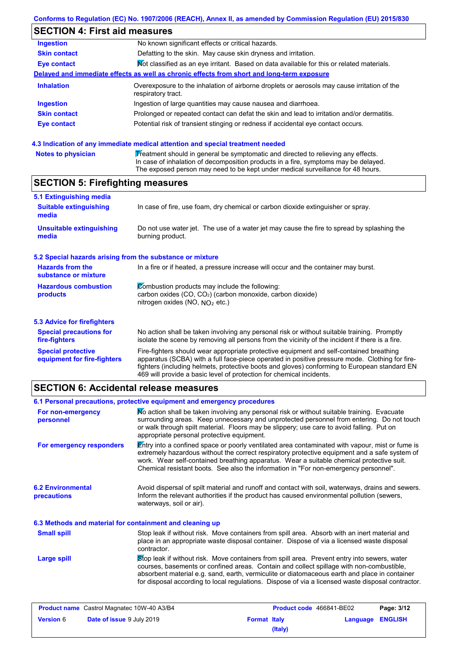# **SECTION 4: First aid measures**

| Ingestion           | No known significant effects or critical hazards.                                                                 |
|---------------------|-------------------------------------------------------------------------------------------------------------------|
| <b>Skin contact</b> | Defatting to the skin. May cause skin dryness and irritation.                                                     |
| Eye contact         | Mot classified as an eye irritant. Based on data available for this or related materials.                         |
|                     | Delayed and immediate effects as well as chronic effects from short and long-term exposure                        |
| <b>Inhalation</b>   | Overexposure to the inhalation of airborne droplets or aerosols may cause irritation of the<br>respiratory tract. |
| <b>Ingestion</b>    | Ingestion of large quantities may cause nausea and diarrhoea.                                                     |
| <b>Skin contact</b> | Prolonged or repeated contact can defat the skin and lead to irritation and/or dermatitis.                        |
| <b>Eye contact</b>  | Potential risk of transient stinging or redness if accidental eye contact occurs.                                 |
|                     |                                                                                                                   |

### **4.3 Indication of any immediate medical attention and special treatment needed**

| <b>Notes to physician</b> | Treatment should in general be symptomatic and directed to relieving any effects.   |
|---------------------------|-------------------------------------------------------------------------------------|
|                           | In case of inhalation of decomposition products in a fire, symptoms may be delayed. |
|                           | The exposed person may need to be kept under medical surveillance for 48 hours.     |

# **SECTION 5: Firefighting measures**

| 5.1 Extinguishing media                         |                                                                                                                                                                                                |
|-------------------------------------------------|------------------------------------------------------------------------------------------------------------------------------------------------------------------------------------------------|
| <b>Suitable extinguishing</b><br>media          | In case of fire, use foam, dry chemical or carbon dioxide extinguisher or spray.                                                                                                               |
| <b>Unsuitable extinguishing</b><br>media        | Do not use water jet. The use of a water jet may cause the fire to spread by splashing the<br>burning product.                                                                                 |
|                                                 | 5.2 Special hazards arising from the substance or mixture                                                                                                                                      |
| <b>Hazards from the</b><br>substance or mixture | In a fire or if heated, a pressure increase will occur and the container may burst.                                                                                                            |
| <b>Hazardous combustion</b><br><b>products</b>  | Combustion products may include the following:<br>carbon oxides (CO, CO <sub>2</sub> ) (carbon monoxide, carbon dioxide)                                                                       |
|                                                 | nitrogen oxides (NO, $NO2$ etc.)                                                                                                                                                               |
| <b>5.3 Advice for firefighters</b>              |                                                                                                                                                                                                |
| <b>Special precautions for</b><br>fire-fighters | No action shall be taken involving any personal risk or without suitable training. Promptly<br>isolate the scene by removing all persons from the vicinity of the incident if there is a fire. |

Fire-fighters should wear appropriate protective equipment and self-contained breathing apparatus (SCBA) with a full face-piece operated in positive pressure mode. Clothing for firefighters (including helmets, protective boots and gloves) conforming to European standard EN 469 will provide a basic level of protection for chemical incidents. **Special protective equipment for fire-fighters**

## **SECTION 6: Accidental release measures**

|                                                          | 6.1 Personal precautions, protective equipment and emergency procedures                                                                                                                                                                                                                                                                                                                        |
|----------------------------------------------------------|------------------------------------------------------------------------------------------------------------------------------------------------------------------------------------------------------------------------------------------------------------------------------------------------------------------------------------------------------------------------------------------------|
| For non-emergency<br>personnel                           | No action shall be taken involving any personal risk or without suitable training. Evacuate<br>surrounding areas. Keep unnecessary and unprotected personnel from entering. Do not touch<br>or walk through spilt material. Floors may be slippery; use care to avoid falling. Put on<br>appropriate personal protective equipment.                                                            |
| For emergency responders                                 | Entry into a confined space or poorly ventilated area contaminated with vapour, mist or fume is<br>extremely hazardous without the correct respiratory protective equipment and a safe system of<br>work. Wear self-contained breathing apparatus. Wear a suitable chemical protective suit.<br>Chemical resistant boots. See also the information in "For non-emergency personnel".           |
| <b>6.2 Environmental</b><br>precautions                  | Avoid dispersal of spilt material and runoff and contact with soil, waterways, drains and sewers.<br>Inform the relevant authorities if the product has caused environmental pollution (sewers,<br>waterways, soil or air).                                                                                                                                                                    |
| 6.3 Methods and material for containment and cleaning up |                                                                                                                                                                                                                                                                                                                                                                                                |
| <b>Small spill</b>                                       | Stop leak if without risk. Move containers from spill area. Absorb with an inert material and<br>place in an appropriate waste disposal container. Dispose of via a licensed waste disposal<br>contractor.                                                                                                                                                                                     |
| Large spill                                              | Stop leak if without risk. Move containers from spill area. Prevent entry into sewers, water<br>courses, basements or confined areas. Contain and collect spillage with non-combustible,<br>absorbent material e.g. sand, earth, vermiculite or diatomaceous earth and place in container<br>for disposal according to local regulations. Dispose of via a licensed waste disposal contractor. |
|                                                          |                                                                                                                                                                                                                                                                                                                                                                                                |

| <b>Product name</b> Castrol Magnatec 10W-40 A3/B4 |                                  | <b>Product code</b> 466841-BE02 |         | Page: 3/12       |  |
|---------------------------------------------------|----------------------------------|---------------------------------|---------|------------------|--|
| <b>Version 6</b>                                  | <b>Date of issue 9 July 2019</b> | <b>Format Italy</b>             |         | Language ENGLISH |  |
|                                                   |                                  |                                 | (Italy) |                  |  |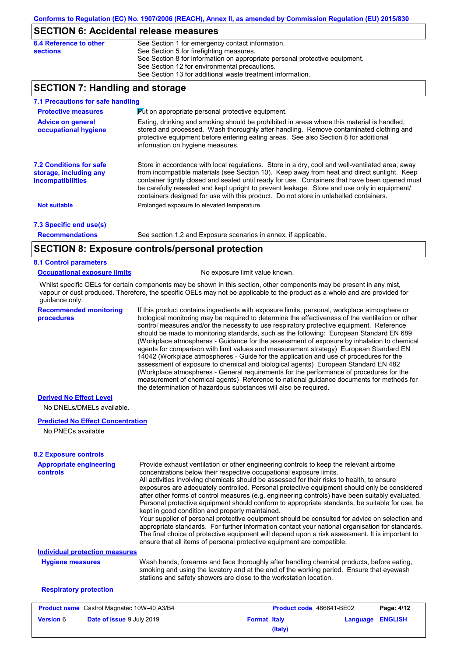### **SECTION 6: Accidental release measures**

| 6.4 Reference to other | See Section 1 for emergency contact information.                            |
|------------------------|-----------------------------------------------------------------------------|
| sections               | See Section 5 for firefighting measures.                                    |
|                        | See Section 8 for information on appropriate personal protective equipment. |
|                        | See Section 12 for environmental precautions.                               |
|                        | See Section 13 for additional waste treatment information.                  |
|                        |                                                                             |

## **SECTION 7: Handling and storage**

| 7.1 Precautions for safe handling                                             |                                                                                                                                                                                                                                                                                                                                                                                                                                                                                          |
|-------------------------------------------------------------------------------|------------------------------------------------------------------------------------------------------------------------------------------------------------------------------------------------------------------------------------------------------------------------------------------------------------------------------------------------------------------------------------------------------------------------------------------------------------------------------------------|
| <b>Protective measures</b>                                                    | Put on appropriate personal protective equipment.                                                                                                                                                                                                                                                                                                                                                                                                                                        |
| <b>Advice on general</b><br>occupational hygiene                              | Eating, drinking and smoking should be prohibited in areas where this material is handled.<br>stored and processed. Wash thoroughly after handling. Remove contaminated clothing and<br>protective equipment before entering eating areas. See also Section 8 for additional<br>information on hygiene measures.                                                                                                                                                                         |
| <b>7.2 Conditions for safe</b><br>storage, including any<br>incompatibilities | Store in accordance with local regulations. Store in a dry, cool and well-ventilated area, away<br>from incompatible materials (see Section 10). Keep away from heat and direct sunlight. Keep<br>container tightly closed and sealed until ready for use. Containers that have been opened must<br>be carefully resealed and kept upright to prevent leakage. Store and use only in equipment/<br>containers designed for use with this product. Do not store in unlabelled containers. |
| <b>Not suitable</b>                                                           | Prolonged exposure to elevated temperature.                                                                                                                                                                                                                                                                                                                                                                                                                                              |
| 7.3 Specific end use(s)                                                       |                                                                                                                                                                                                                                                                                                                                                                                                                                                                                          |
| <b>Recommendations</b>                                                        | See section 1.2 and Exposure scenarios in annex, if applicable.                                                                                                                                                                                                                                                                                                                                                                                                                          |
|                                                                               | <b>CECTION 2. Expective controls/personal protection</b>                                                                                                                                                                                                                                                                                                                                                                                                                                 |

# **SECTION 8: Exposure controls/personal protection**

### **8.1 Control parameters**

#### **Occupational exposure limits** No exposure limit value known.

Whilst specific OELs for certain components may be shown in this section, other components may be present in any mist, vapour or dust produced. Therefore, the specific OELs may not be applicable to the product as a whole and are provided for guidance only.

**Recommended monitoring procedures**

If this product contains ingredients with exposure limits, personal, workplace atmosphere or biological monitoring may be required to determine the effectiveness of the ventilation or other control measures and/or the necessity to use respiratory protective equipment. Reference should be made to monitoring standards, such as the following: European Standard EN 689 (Workplace atmospheres - Guidance for the assessment of exposure by inhalation to chemical agents for comparison with limit values and measurement strategy) European Standard EN 14042 (Workplace atmospheres - Guide for the application and use of procedures for the assessment of exposure to chemical and biological agents) European Standard EN 482 (Workplace atmospheres - General requirements for the performance of procedures for the measurement of chemical agents) Reference to national guidance documents for methods for the determination of hazardous substances will also be required.

### **Derived No Effect Level**

No DNELs/DMELs available.

#### **Predicted No Effect Concentration**

No PNECs available

| <b>8.2 Exposure controls</b>                      |                                                                                                                                                                                                                                                                                                                                                                                                                                                                                                                                                                                                                                                                                                                                                                                                                                                                                                                                                                                                         |                     |                                 |          |                |
|---------------------------------------------------|---------------------------------------------------------------------------------------------------------------------------------------------------------------------------------------------------------------------------------------------------------------------------------------------------------------------------------------------------------------------------------------------------------------------------------------------------------------------------------------------------------------------------------------------------------------------------------------------------------------------------------------------------------------------------------------------------------------------------------------------------------------------------------------------------------------------------------------------------------------------------------------------------------------------------------------------------------------------------------------------------------|---------------------|---------------------------------|----------|----------------|
| <b>Appropriate engineering</b><br><b>controls</b> | Provide exhaust ventilation or other engineering controls to keep the relevant airborne<br>concentrations below their respective occupational exposure limits.<br>All activities involving chemicals should be assessed for their risks to health, to ensure<br>exposures are adequately controlled. Personal protective equipment should only be considered<br>after other forms of control measures (e.g. engineering controls) have been suitably evaluated.<br>Personal protective equipment should conform to appropriate standards, be suitable for use, be<br>kept in good condition and properly maintained.<br>Your supplier of personal protective equipment should be consulted for advice on selection and<br>appropriate standards. For further information contact your national organisation for standards.<br>The final choice of protective equipment will depend upon a risk assessment. It is important to<br>ensure that all items of personal protective equipment are compatible. |                     |                                 |          |                |
| <b>Individual protection measures</b>             |                                                                                                                                                                                                                                                                                                                                                                                                                                                                                                                                                                                                                                                                                                                                                                                                                                                                                                                                                                                                         |                     |                                 |          |                |
| <b>Hygiene measures</b>                           | Wash hands, forearms and face thoroughly after handling chemical products, before eating,<br>smoking and using the lavatory and at the end of the working period. Ensure that eyewash<br>stations and safety showers are close to the workstation location.                                                                                                                                                                                                                                                                                                                                                                                                                                                                                                                                                                                                                                                                                                                                             |                     |                                 |          |                |
| <b>Respiratory protection</b>                     |                                                                                                                                                                                                                                                                                                                                                                                                                                                                                                                                                                                                                                                                                                                                                                                                                                                                                                                                                                                                         |                     |                                 |          |                |
| <b>Product name</b> Castrol Magnatec 10W-40 A3/B4 |                                                                                                                                                                                                                                                                                                                                                                                                                                                                                                                                                                                                                                                                                                                                                                                                                                                                                                                                                                                                         |                     | <b>Product code</b> 466841-BE02 |          | Page: 4/12     |
| <b>Version 6</b>                                  | Date of issue 9 July 2019                                                                                                                                                                                                                                                                                                                                                                                                                                                                                                                                                                                                                                                                                                                                                                                                                                                                                                                                                                               | <b>Format Italy</b> | (Italy)                         | Language | <b>ENGLISH</b> |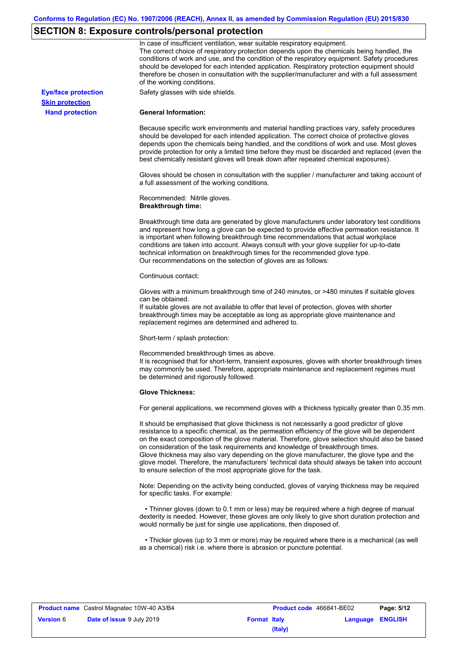# **SECTION 8: Exposure controls/personal protection**

|                            | In case of insufficient ventilation, wear suitable respiratory equipment.<br>The correct choice of respiratory protection depends upon the chemicals being handled, the<br>conditions of work and use, and the condition of the respiratory equipment. Safety procedures<br>should be developed for each intended application. Respiratory protection equipment should<br>therefore be chosen in consultation with the supplier/manufacturer and with a full assessment<br>of the working conditions.                                                                                                                                             |
|----------------------------|---------------------------------------------------------------------------------------------------------------------------------------------------------------------------------------------------------------------------------------------------------------------------------------------------------------------------------------------------------------------------------------------------------------------------------------------------------------------------------------------------------------------------------------------------------------------------------------------------------------------------------------------------|
| <b>Eye/face protection</b> | Safety glasses with side shields.                                                                                                                                                                                                                                                                                                                                                                                                                                                                                                                                                                                                                 |
| <b>Skin protection</b>     |                                                                                                                                                                                                                                                                                                                                                                                                                                                                                                                                                                                                                                                   |
| <b>Hand protection</b>     | <b>General Information:</b>                                                                                                                                                                                                                                                                                                                                                                                                                                                                                                                                                                                                                       |
|                            | Because specific work environments and material handling practices vary, safety procedures<br>should be developed for each intended application. The correct choice of protective gloves<br>depends upon the chemicals being handled, and the conditions of work and use. Most gloves<br>provide protection for only a limited time before they must be discarded and replaced (even the<br>best chemically resistant gloves will break down after repeated chemical exposures).                                                                                                                                                                  |
|                            | Gloves should be chosen in consultation with the supplier / manufacturer and taking account of<br>a full assessment of the working conditions.                                                                                                                                                                                                                                                                                                                                                                                                                                                                                                    |
|                            | Recommended: Nitrile gloves.<br><b>Breakthrough time:</b>                                                                                                                                                                                                                                                                                                                                                                                                                                                                                                                                                                                         |
|                            | Breakthrough time data are generated by glove manufacturers under laboratory test conditions<br>and represent how long a glove can be expected to provide effective permeation resistance. It<br>is important when following breakthrough time recommendations that actual workplace<br>conditions are taken into account. Always consult with your glove supplier for up-to-date<br>technical information on breakthrough times for the recommended glove type.<br>Our recommendations on the selection of gloves are as follows:                                                                                                                |
|                            | Continuous contact:                                                                                                                                                                                                                                                                                                                                                                                                                                                                                                                                                                                                                               |
|                            | Gloves with a minimum breakthrough time of 240 minutes, or >480 minutes if suitable gloves<br>can be obtained.<br>If suitable gloves are not available to offer that level of protection, gloves with shorter<br>breakthrough times may be acceptable as long as appropriate glove maintenance and<br>replacement regimes are determined and adhered to.                                                                                                                                                                                                                                                                                          |
|                            | Short-term / splash protection:                                                                                                                                                                                                                                                                                                                                                                                                                                                                                                                                                                                                                   |
|                            | Recommended breakthrough times as above.<br>It is recognised that for short-term, transient exposures, gloves with shorter breakthrough times<br>may commonly be used. Therefore, appropriate maintenance and replacement regimes must<br>be determined and rigorously followed.                                                                                                                                                                                                                                                                                                                                                                  |
|                            | <b>Glove Thickness:</b>                                                                                                                                                                                                                                                                                                                                                                                                                                                                                                                                                                                                                           |
|                            | For general applications, we recommend gloves with a thickness typically greater than 0.35 mm.                                                                                                                                                                                                                                                                                                                                                                                                                                                                                                                                                    |
|                            | It should be emphasised that glove thickness is not necessarily a good predictor of glove<br>resistance to a specific chemical, as the permeation efficiency of the glove will be dependent<br>on the exact composition of the glove material. Therefore, glove selection should also be based<br>on consideration of the task requirements and knowledge of breakthrough times.<br>Glove thickness may also vary depending on the glove manufacturer, the glove type and the<br>glove model. Therefore, the manufacturers' technical data should always be taken into account<br>to ensure selection of the most appropriate glove for the task. |
|                            | Note: Depending on the activity being conducted, gloves of varying thickness may be required<br>for specific tasks. For example:                                                                                                                                                                                                                                                                                                                                                                                                                                                                                                                  |
|                            | • Thinner gloves (down to 0.1 mm or less) may be required where a high degree of manual<br>dexterity is needed. However, these gloves are only likely to give short duration protection and<br>would normally be just for single use applications, then disposed of.                                                                                                                                                                                                                                                                                                                                                                              |
|                            | • Thicker gloves (up to 3 mm or more) may be required where there is a mechanical (as well<br>as a chemical) risk i.e. where there is abrasion or puncture potential.                                                                                                                                                                                                                                                                                                                                                                                                                                                                             |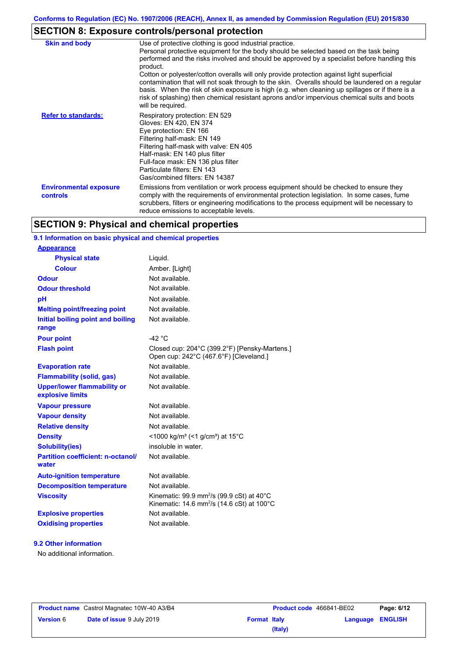# **SECTION 8: Exposure controls/personal protection**

| <b>Skin and body</b>                      | Use of protective clothing is good industrial practice.<br>Personal protective equipment for the body should be selected based on the task being<br>performed and the risks involved and should be approved by a specialist before handling this<br>product.<br>Cotton or polyester/cotton overalls will only provide protection against light superficial<br>contamination that will not soak through to the skin. Overalls should be laundered on a regular<br>basis. When the risk of skin exposure is high (e.g. when cleaning up spillages or if there is a<br>risk of splashing) then chemical resistant aprons and/or impervious chemical suits and boots<br>will be required. |
|-------------------------------------------|---------------------------------------------------------------------------------------------------------------------------------------------------------------------------------------------------------------------------------------------------------------------------------------------------------------------------------------------------------------------------------------------------------------------------------------------------------------------------------------------------------------------------------------------------------------------------------------------------------------------------------------------------------------------------------------|
| <b>Refer to standards:</b>                | Respiratory protection: EN 529<br>Gloves: EN 420, EN 374<br>Eye protection: EN 166<br>Filtering half-mask: EN 149<br>Filtering half-mask with valve: EN 405<br>Half-mask: EN 140 plus filter<br>Full-face mask: EN 136 plus filter<br>Particulate filters: EN 143<br>Gas/combined filters: EN 14387                                                                                                                                                                                                                                                                                                                                                                                   |
| <b>Environmental exposure</b><br>controls | Emissions from ventilation or work process equipment should be checked to ensure they<br>comply with the requirements of environmental protection legislation. In some cases, fume<br>scrubbers, filters or engineering modifications to the process equipment will be necessary to<br>reduce emissions to acceptable levels.                                                                                                                                                                                                                                                                                                                                                         |

# **SECTION 9: Physical and chemical properties**

### **9.1 Information on basic physical and chemical properties**

| <b>Appearance</b>                                      |                                                                                                                            |
|--------------------------------------------------------|----------------------------------------------------------------------------------------------------------------------------|
| <b>Physical state</b>                                  | Liquid.                                                                                                                    |
| <b>Colour</b>                                          | Amber. [Light]                                                                                                             |
| <b>Odour</b>                                           | Not available.                                                                                                             |
| <b>Odour threshold</b>                                 | Not available.                                                                                                             |
| pH                                                     | Not available.                                                                                                             |
| <b>Melting point/freezing point</b>                    | Not available.                                                                                                             |
| Initial boiling point and boiling<br>range             | Not available.                                                                                                             |
| <b>Pour point</b>                                      | $-42$ °C                                                                                                                   |
| <b>Flash point</b>                                     | Closed cup: 204°C (399.2°F) [Pensky-Martens.]<br>Open cup: 242°C (467.6°F) [Cleveland.]                                    |
| <b>Evaporation rate</b>                                | Not available.                                                                                                             |
| <b>Flammability (solid, gas)</b>                       | Not available.                                                                                                             |
| <b>Upper/lower flammability or</b><br>explosive limits | Not available.                                                                                                             |
| <b>Vapour pressure</b>                                 | Not available.                                                                                                             |
| <b>Vapour density</b>                                  | Not available.                                                                                                             |
| <b>Relative density</b>                                | Not available.                                                                                                             |
| <b>Density</b>                                         | <1000 kg/m <sup>3</sup> (<1 g/cm <sup>3</sup> ) at 15°C                                                                    |
| <b>Solubility(ies)</b>                                 | insoluble in water.                                                                                                        |
| <b>Partition coefficient: n-octanol/</b><br>water      | Not available.                                                                                                             |
| <b>Auto-ignition temperature</b>                       | Not available.                                                                                                             |
| <b>Decomposition temperature</b>                       | Not available.                                                                                                             |
| <b>Viscosity</b>                                       | Kinematic: 99.9 mm <sup>2</sup> /s (99.9 cSt) at 40 $^{\circ}$ C<br>Kinematic: 14.6 mm <sup>2</sup> /s (14.6 cSt) at 100°C |
| <b>Explosive properties</b>                            | Not available                                                                                                              |
| <b>Oxidising properties</b>                            | Not available.                                                                                                             |

### **9.2 Other information**

No additional information.

|                  | <b>Product name</b> Castrol Magnatec 10W-40 A3/B4 |
|------------------|---------------------------------------------------|
| <b>Version 6</b> | Date of issue 9 July 2019                         |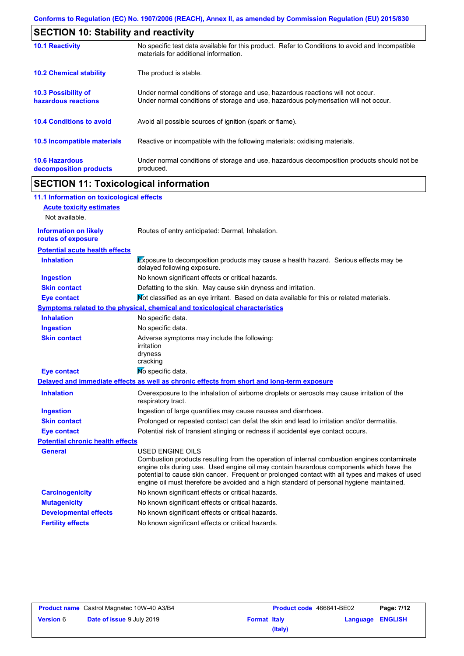| <b>SECTION 10: Stability and reactivity</b>     |                                                                                                                                                                         |  |  |
|-------------------------------------------------|-------------------------------------------------------------------------------------------------------------------------------------------------------------------------|--|--|
| <b>10.1 Reactivity</b>                          | No specific test data available for this product. Refer to Conditions to avoid and Incompatible<br>materials for additional information.                                |  |  |
| <b>10.2 Chemical stability</b>                  | The product is stable.                                                                                                                                                  |  |  |
| 10.3 Possibility of<br>hazardous reactions      | Under normal conditions of storage and use, hazardous reactions will not occur.<br>Under normal conditions of storage and use, hazardous polymerisation will not occur. |  |  |
| <b>10.4 Conditions to avoid</b>                 | Avoid all possible sources of ignition (spark or flame).                                                                                                                |  |  |
| 10.5 Incompatible materials                     | Reactive or incompatible with the following materials: oxidising materials.                                                                                             |  |  |
| <b>10.6 Hazardous</b><br>decomposition products | Under normal conditions of storage and use, hazardous decomposition products should not be<br>produced.                                                                 |  |  |

# **SECTION 11: Toxicological information**

| 11.1 Information on toxicological effects          |                                                                                                                                                                                                                                                                                                                                                                                                                 |
|----------------------------------------------------|-----------------------------------------------------------------------------------------------------------------------------------------------------------------------------------------------------------------------------------------------------------------------------------------------------------------------------------------------------------------------------------------------------------------|
| <b>Acute toxicity estimates</b>                    |                                                                                                                                                                                                                                                                                                                                                                                                                 |
| Not available.                                     |                                                                                                                                                                                                                                                                                                                                                                                                                 |
| <b>Information on likely</b><br>routes of exposure | Routes of entry anticipated: Dermal, Inhalation.                                                                                                                                                                                                                                                                                                                                                                |
| <b>Potential acute health effects</b>              |                                                                                                                                                                                                                                                                                                                                                                                                                 |
| <b>Inhalation</b>                                  | Exposure to decomposition products may cause a health hazard. Serious effects may be<br>delayed following exposure.                                                                                                                                                                                                                                                                                             |
| <b>Ingestion</b>                                   | No known significant effects or critical hazards.                                                                                                                                                                                                                                                                                                                                                               |
| <b>Skin contact</b>                                | Defatting to the skin. May cause skin dryness and irritation.                                                                                                                                                                                                                                                                                                                                                   |
| <b>Eye contact</b>                                 | Not classified as an eye irritant. Based on data available for this or related materials.                                                                                                                                                                                                                                                                                                                       |
|                                                    | <b>Symptoms related to the physical, chemical and toxicological characteristics</b>                                                                                                                                                                                                                                                                                                                             |
| <b>Inhalation</b>                                  | No specific data.                                                                                                                                                                                                                                                                                                                                                                                               |
| <b>Ingestion</b>                                   | No specific data.                                                                                                                                                                                                                                                                                                                                                                                               |
| <b>Skin contact</b>                                | Adverse symptoms may include the following:<br>irritation<br>dryness<br>cracking                                                                                                                                                                                                                                                                                                                                |
| <b>Eye contact</b>                                 | No specific data.                                                                                                                                                                                                                                                                                                                                                                                               |
|                                                    | Delayed and immediate effects as well as chronic effects from short and long-term exposure                                                                                                                                                                                                                                                                                                                      |
| <b>Inhalation</b>                                  | Overexposure to the inhalation of airborne droplets or aerosols may cause irritation of the<br>respiratory tract.                                                                                                                                                                                                                                                                                               |
| <b>Ingestion</b>                                   | Ingestion of large quantities may cause nausea and diarrhoea.                                                                                                                                                                                                                                                                                                                                                   |
| <b>Skin contact</b>                                | Prolonged or repeated contact can defat the skin and lead to irritation and/or dermatitis.                                                                                                                                                                                                                                                                                                                      |
| <b>Eye contact</b>                                 | Potential risk of transient stinging or redness if accidental eye contact occurs.                                                                                                                                                                                                                                                                                                                               |
| <b>Potential chronic health effects</b>            |                                                                                                                                                                                                                                                                                                                                                                                                                 |
| <b>General</b>                                     | <b>USED ENGINE OILS</b><br>Combustion products resulting from the operation of internal combustion engines contaminate<br>engine oils during use. Used engine oil may contain hazardous components which have the<br>potential to cause skin cancer. Frequent or prolonged contact with all types and makes of used<br>engine oil must therefore be avoided and a high standard of personal hygiene maintained. |
| <b>Carcinogenicity</b>                             | No known significant effects or critical hazards.                                                                                                                                                                                                                                                                                                                                                               |
| <b>Mutagenicity</b>                                | No known significant effects or critical hazards.                                                                                                                                                                                                                                                                                                                                                               |
| <b>Developmental effects</b>                       | No known significant effects or critical hazards.                                                                                                                                                                                                                                                                                                                                                               |
| <b>Fertility effects</b>                           | No known significant effects or critical hazards.                                                                                                                                                                                                                                                                                                                                                               |

| <b>Product name</b> Castrol Magnatec 10W-40 A3/B4 |                                  |                     | <b>Product code</b> 466841-BE02 | Page: 7/12              |  |
|---------------------------------------------------|----------------------------------|---------------------|---------------------------------|-------------------------|--|
| <b>Version 6</b>                                  | <b>Date of issue 9 July 2019</b> | <b>Format Italy</b> |                                 | <b>Language ENGLISH</b> |  |
|                                                   |                                  |                     | (Italy)                         |                         |  |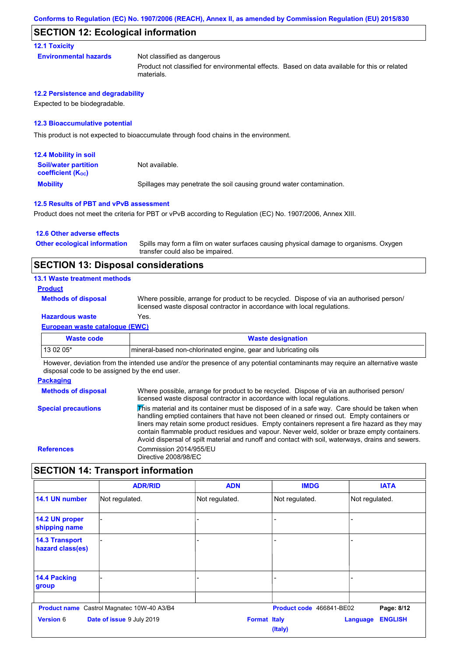### **SECTION 12: Ecological information**

**12.1 Toxicity**

**Environmental hazards** Not classified as dangerous Product not classified for environmental effects. Based on data available for this or related materials.

**12.2 Persistence and degradability**

Expected to be biodegradable.

#### **12.3 Bioaccumulative potential**

This product is not expected to bioaccumulate through food chains in the environment.

| <b>12.4 Mobility in soil</b>                            |                                                                      |
|---------------------------------------------------------|----------------------------------------------------------------------|
| <b>Soil/water partition</b><br><b>coefficient (Koc)</b> | Not available.                                                       |
| <b>Mobility</b>                                         | Spillages may penetrate the soil causing ground water contamination. |

#### **12.5 Results of PBT and vPvB assessment**

Product does not meet the criteria for PBT or vPvB according to Regulation (EC) No. 1907/2006, Annex XIII.

#### **12.6 Other adverse effects**

Spills may form a film on water surfaces causing physical damage to organisms. Oxygen transfer could also be impaired. **Other ecological information**

### **SECTION 13: Disposal considerations**

#### **13.1 Waste treatment methods**

#### **Product**

**Methods of disposal**

Where possible, arrange for product to be recycled. Dispose of via an authorised person/ licensed waste disposal contractor in accordance with local regulations.

### **Hazardous waste** Yes.

**European waste catalogue (EWC)**

| Waste code | <b>Waste designation</b>                                        |  |
|------------|-----------------------------------------------------------------|--|
| $130205*$  | mineral-based non-chlorinated engine, gear and lubricating oils |  |
|            |                                                                 |  |

However, deviation from the intended use and/or the presence of any potential contaminants may require an alternative waste disposal code to be assigned by the end user.

#### **Packaging Methods of disposal Special precautions** Where possible, arrange for product to be recycled. Dispose of via an authorised person/ licensed waste disposal contractor in accordance with local regulations. This material and its container must be disposed of in a safe way. Care should be taken when handling emptied containers that have not been cleaned or rinsed out. Empty containers or liners may retain some product residues. Empty containers represent a fire hazard as they may contain flammable product residues and vapour. Never weld, solder or braze empty containers. Avoid dispersal of spilt material and runoff and contact with soil, waterways, drains and sewers. **References** Commission 2014/955/EU Directive 2008/98/EC

### **SECTION 14: Transport information**

|                                           | <b>ADR/RID</b>                                    | <b>ADN</b>          | <b>IMDG</b>              | <b>IATA</b>                       |
|-------------------------------------------|---------------------------------------------------|---------------------|--------------------------|-----------------------------------|
| 14.1 UN number                            | Not regulated.                                    | Not regulated.      | Not regulated.           | Not regulated.                    |
| 14.2 UN proper<br>shipping name           |                                                   |                     |                          |                                   |
| <b>14.3 Transport</b><br>hazard class(es) |                                                   |                     |                          |                                   |
| 14.4 Packing<br>group                     |                                                   |                     |                          |                                   |
|                                           | <b>Product name</b> Castrol Magnatec 10W-40 A3/B4 |                     | Product code 466841-BE02 | Page: 8/12                        |
| <b>Version 6</b>                          | Date of issue 9 July 2019                         | <b>Format Italy</b> | (Italy)                  | <b>ENGLISH</b><br><b>Language</b> |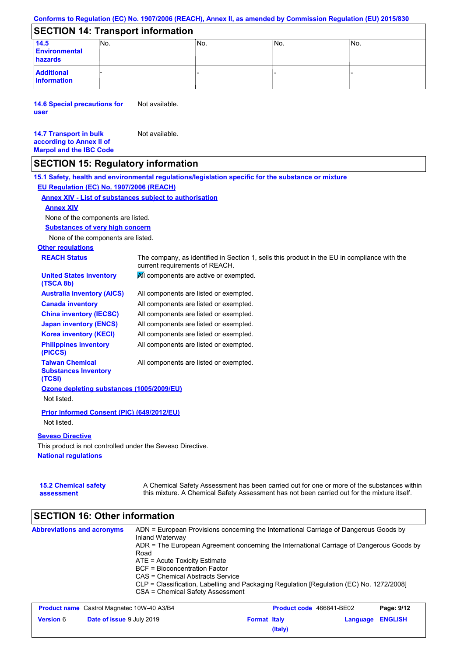### **Conforms to Regulation (EC) No. 1907/2006 (REACH), Annex II, as amended by Commission Regulation (EU) 2015/830**

# **SECTION 14: Transport information**

| 14.5<br><b>Environmental</b><br>hazards | No. | No. | No. | 'No. |
|-----------------------------------------|-----|-----|-----|------|
| <b>Additional</b><br>information        |     |     |     |      |

**14.6 Special precautions for user** Not available.

#### **14.7 Transport in bulk according to Annex II of Marpol and the IBC Code** Not available.

**assessment**

## **SECTION 15: Regulatory information**

**National regulations Other regulations REACH Status** The company, as identified in Section 1, sells this product in the EU in compliance with the current requirements of REACH. **15.1 Safety, health and environmental regulations/legislation specific for the substance or mixture EU Regulation (EC) No. 1907/2006 (REACH) Annex XIV - List of substances subject to authorisation 15.2 Chemical safety Substances of very high concern** None of the components are listed. All components are listed or exempted. All components are listed or exempted. All components are listed or exempted. All components are listed or exempted. All components are active or exempted. All components are listed or exempted. All components are listed or exempted. **United States inventory (TSCA 8b) Australia inventory (AICS) Canada inventory China inventory (IECSC) Japan inventory (ENCS) Korea inventory (KECI) Philippines inventory (PICCS) Taiwan Chemical Substances Inventory (TCSI)** All components are listed or exempted. **Ozone depleting substances (1005/2009/EU)** Not listed. **Prior Informed Consent (PIC) (649/2012/EU)** Not listed. **Seveso Directive** This product is not controlled under the Seveso Directive. A Chemical Safety Assessment has been carried out for one or more of the substances within this mixture. A Chemical Safety Assessment has not been carried out for the mixture itself. None of the components are listed. **Annex XIV**

| <b>Abbreviations and acronyms</b>                    | ADN = European Provisions concerning the International Carriage of Dangerous Goods by<br>Inland Waterway<br>ADR = The European Agreement concerning the International Carriage of Dangerous Goods by<br>Road |                                  |                          |                |                                                                         |
|------------------------------------------------------|--------------------------------------------------------------------------------------------------------------------------------------------------------------------------------------------------------------|----------------------------------|--------------------------|----------------|-------------------------------------------------------------------------|
|                                                      |                                                                                                                                                                                                              |                                  |                          |                |                                                                         |
|                                                      |                                                                                                                                                                                                              |                                  |                          |                | $ATE = Acute Toxicity Estimate$<br><b>BCF</b> = Bioconcentration Factor |
|                                                      |                                                                                                                                                                                                              | CAS = Chemical Abstracts Service |                          |                |                                                                         |
|                                                      | CLP = Classification, Labelling and Packaging Regulation [Regulation (EC) No. 1272/2008]                                                                                                                     |                                  |                          |                |                                                                         |
|                                                      | CSA = Chemical Safety Assessment                                                                                                                                                                             |                                  |                          |                |                                                                         |
|                                                      |                                                                                                                                                                                                              |                                  |                          |                |                                                                         |
| <b>Product name</b> Castrol Magnatec 10W-40 A3/B4    |                                                                                                                                                                                                              |                                  | Product code 466841-BE02 | Page: 9/12     |                                                                         |
| <b>Version 6</b><br><b>Date of issue 9 July 2019</b> |                                                                                                                                                                                                              | <b>Format Italy</b>              | Language                 | <b>ENGLISH</b> |                                                                         |

**(Italy)**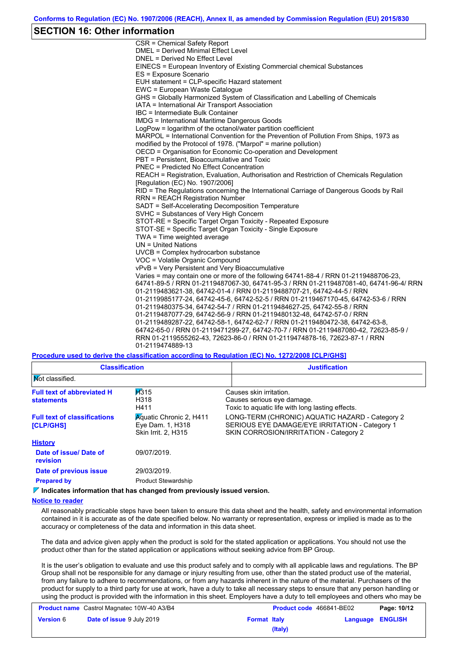### **SECTION 16: Other information**

CSR = Chemical Safety Report DMEL = Derived Minimal Effect Level DNEL = Derived No Effect Level EINECS = European Inventory of Existing Commercial chemical Substances ES = Exposure Scenario EUH statement = CLP-specific Hazard statement EWC = European Waste Catalogue GHS = Globally Harmonized System of Classification and Labelling of Chemicals IATA = International Air Transport Association IBC = Intermediate Bulk Container IMDG = International Maritime Dangerous Goods LogPow = logarithm of the octanol/water partition coefficient MARPOL = International Convention for the Prevention of Pollution From Ships, 1973 as modified by the Protocol of 1978. ("Marpol" = marine pollution) OECD = Organisation for Economic Co-operation and Development PBT = Persistent, Bioaccumulative and Toxic PNEC = Predicted No Effect Concentration REACH = Registration, Evaluation, Authorisation and Restriction of Chemicals Regulation [Regulation (EC) No. 1907/2006] RID = The Regulations concerning the International Carriage of Dangerous Goods by Rail RRN = REACH Registration Number SADT = Self-Accelerating Decomposition Temperature SVHC = Substances of Very High Concern STOT-RE = Specific Target Organ Toxicity - Repeated Exposure STOT-SE = Specific Target Organ Toxicity - Single Exposure TWA = Time weighted average UN = United Nations UVCB = Complex hydrocarbon substance VOC = Volatile Organic Compound vPvB = Very Persistent and Very Bioaccumulative Varies = may contain one or more of the following 64741-88-4 / RRN 01-2119488706-23, 64741-89-5 / RRN 01-2119487067-30, 64741-95-3 / RRN 01-2119487081-40, 64741-96-4/ RRN 01-2119483621-38, 64742-01-4 / RRN 01-2119488707-21, 64742-44-5 / RRN 01-2119985177-24, 64742-45-6, 64742-52-5 / RRN 01-2119467170-45, 64742-53-6 / RRN 01-2119480375-34, 64742-54-7 / RRN 01-2119484627-25, 64742-55-8 / RRN 01-2119487077-29, 64742-56-9 / RRN 01-2119480132-48, 64742-57-0 / RRN 01-2119489287-22, 64742-58-1, 64742-62-7 / RRN 01-2119480472-38, 64742-63-8, 64742-65-0 / RRN 01-2119471299-27, 64742-70-7 / RRN 01-2119487080-42, 72623-85-9 / RRN 01-2119555262-43, 72623-86-0 / RRN 01-2119474878-16, 72623-87-1 / RRN 01-2119474889-13

**Procedure used to derive the classification according to Regulation (EC) No. 1272/2008 [CLP/GHS]**

| <b>Classification</b>                                   |                                                                                        | <b>Justification</b>                                                                                                                        |
|---------------------------------------------------------|----------------------------------------------------------------------------------------|---------------------------------------------------------------------------------------------------------------------------------------------|
| <b>Not classified.</b>                                  |                                                                                        |                                                                                                                                             |
| <b>Full text of abbreviated H</b><br><b>statements</b>  | H315<br>H318<br>H411                                                                   | Causes skin irritation.<br>Causes serious eye damage.<br>Toxic to aguatic life with long lasting effects.                                   |
| <b>Full text of classifications</b><br><b>[CLP/GHS]</b> | <b>Aguatic Chronic 2, H411</b><br>Eye Dam. 1, H318<br>Skin Irrit. 2, H315              | LONG-TERM (CHRONIC) AQUATIC HAZARD - Category 2<br>SERIOUS EYE DAMAGE/EYE IRRITATION - Category 1<br>SKIN CORROSION/IRRITATION - Category 2 |
| <b>History</b>                                          |                                                                                        |                                                                                                                                             |
| Date of issue/Date of<br>revision                       | 09/07/2019.                                                                            |                                                                                                                                             |
| Date of previous issue                                  | 29/03/2019.                                                                            |                                                                                                                                             |
| <b>Prepared by</b>                                      | <b>Product Stewardship</b>                                                             |                                                                                                                                             |
|                                                         | $\triangledown$ Indicates information that has changed from previously issued version. |                                                                                                                                             |

#### **Notice to reader**

All reasonably practicable steps have been taken to ensure this data sheet and the health, safety and environmental information contained in it is accurate as of the date specified below. No warranty or representation, express or implied is made as to the accuracy or completeness of the data and information in this data sheet.

The data and advice given apply when the product is sold for the stated application or applications. You should not use the product other than for the stated application or applications without seeking advice from BP Group.

It is the user's obligation to evaluate and use this product safely and to comply with all applicable laws and regulations. The BP Group shall not be responsible for any damage or injury resulting from use, other than the stated product use of the material, from any failure to adhere to recommendations, or from any hazards inherent in the nature of the material. Purchasers of the product for supply to a third party for use at work, have a duty to take all necessary steps to ensure that any person handling or using the product is provided with the information in this sheet. Employers have a duty to tell employees and others who may be

| <b>Product name</b> Castrol Magnatec 10W-40 A3/B4 |                                  | <b>Product code</b> 466841-BE02 |         | Page: 10/12             |  |
|---------------------------------------------------|----------------------------------|---------------------------------|---------|-------------------------|--|
| <b>Version 6</b>                                  | <b>Date of issue 9 July 2019</b> | <b>Format Italy</b>             |         | <b>Language ENGLISH</b> |  |
|                                                   |                                  |                                 | (Italy) |                         |  |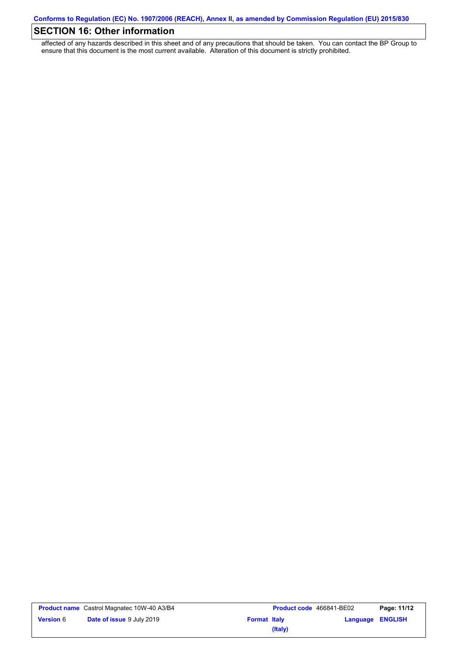# **SECTION 16: Other information**

affected of any hazards described in this sheet and of any precautions that should be taken. You can contact the BP Group to ensure that this document is the most current available. Alteration of this document is strictly prohibited.

|                  | <b>Product name</b> Castrol Magnatec 10W-40 A3/B4 |                     | <b>Product code</b> 466841-BE02 |                         | Page: 11/12 |
|------------------|---------------------------------------------------|---------------------|---------------------------------|-------------------------|-------------|
| <b>Version 6</b> | <b>Date of issue 9 July 2019</b>                  | <b>Format Italy</b> |                                 | <b>Language ENGLISH</b> |             |
|                  |                                                   |                     | (Italy)                         |                         |             |